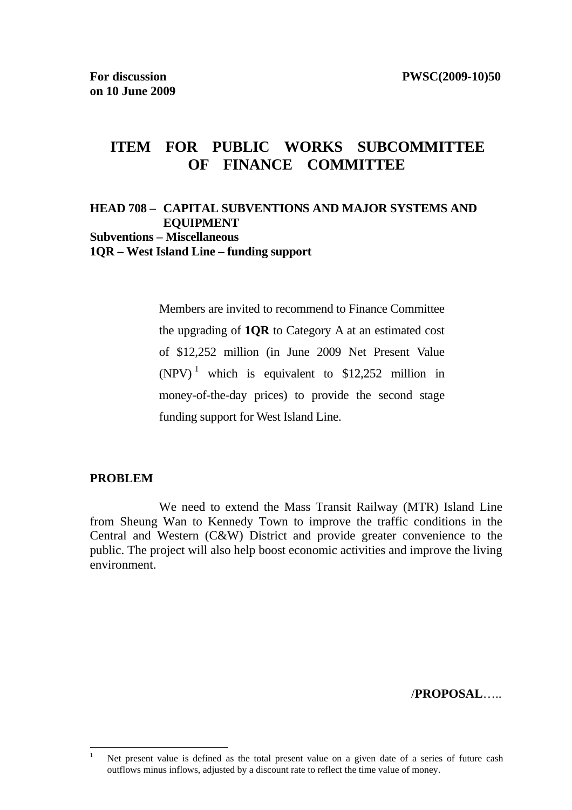# **ITEM FOR PUBLIC WORKS SUBCOMMITTEE OF FINANCE COMMITTEE**

### **HEAD 708 – CAPITAL SUBVENTIONS AND MAJOR SYSTEMS AND EQUIPMENT Subventions – Miscellaneous 1QR – West Island Line – funding support**

Members are invited to recommend to Finance Committee the upgrading of **1QR** to Category A at an estimated cost of \$12,252 million (in June 2009 Net Present Value  $(NPV)^1$  which is equivalent to \$12,252 million in money-of-the-day prices) to provide the second stage funding support for West Island Line.

#### **PROBLEM**

 We need to extend the Mass Transit Railway (MTR) Island Line from Sheung Wan to Kennedy Town to improve the traffic conditions in the Central and Western (C&W) District and provide greater convenience to the public. The project will also help boost economic activities and improve the living environment.

/**PROPOSAL**…..

 $\mathbf{1}$ Net present value is defined as the total present value on a given date of a series of future cash outflows minus inflows, adjusted by a discount rate to reflect the time value of money.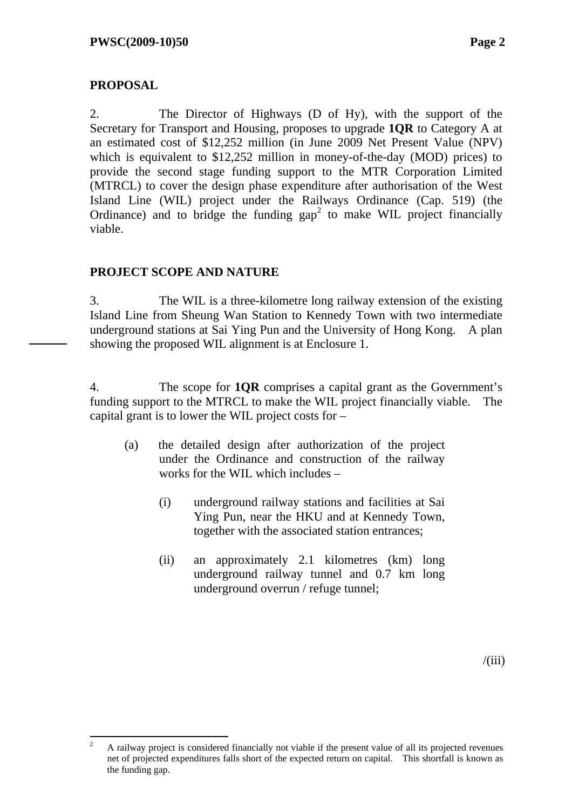### **PROPOSAL**

2. The Director of Highways (D of Hy), with the support of the Secretary for Transport and Housing, proposes to upgrade **1QR** to Category A at an estimated cost of \$12,252 million (in June 2009 Net Present Value (NPV) which is equivalent to \$12,252 million in money-of-the-day (MOD) prices) to provide the second stage funding support to the MTR Corporation Limited (MTRCL) to cover the design phase expenditure after authorisation of the West Island Line (WIL) project under the Railways Ordinance (Cap. 519) (the Ordinance) and to bridge the funding  $\text{gap}^2$  to make WIL project financially viable.

### **PROJECT SCOPE AND NATURE**

3. The WIL is a three-kilometre long railway extension of the existing Island Line from Sheung Wan Station to Kennedy Town with two intermediate underground stations at Sai Ying Pun and the University of Hong Kong. A plan showing the proposed WIL alignment is at Enclosure 1.

4. The scope for **1QR** comprises a capital grant as the Government's funding support to the MTRCL to make the WIL project financially viable. The capital grant is to lower the WIL project costs for –

- (a) the detailed design after authorization of the project under the Ordinance and construction of the railway works for the WIL which includes –
	- (i) underground railway stations and facilities at Sai Ying Pun, near the HKU and at Kennedy Town, together with the associated station entrances;
	- (ii) an approximately 2.1 kilometres (km) long underground railway tunnel and 0.7 km long underground overrun / refuge tunnel;

 $\overline{c}$ <sup>2</sup> A railway project is considered financially not viable if the present value of all its projected revenues net of projected expenditures falls short of the expected return on capital. This shortfall is known as the funding gap.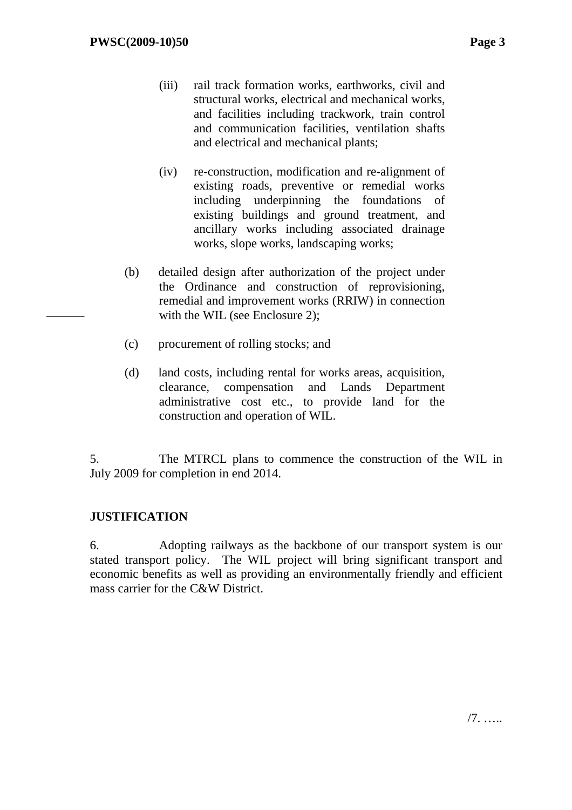- (iii) rail track formation works, earthworks, civil and structural works, electrical and mechanical works, and facilities including trackwork, train control and communication facilities, ventilation shafts and electrical and mechanical plants;
- (iv) re-construction, modification and re-alignment of existing roads, preventive or remedial works including underpinning the foundations of existing buildings and ground treatment, and ancillary works including associated drainage works, slope works, landscaping works;
- (b) detailed design after authorization of the project under the Ordinance and construction of reprovisioning, remedial and improvement works (RRIW) in connection with the WIL (see Enclosure 2);
- (c) procurement of rolling stocks; and
- (d) land costs, including rental for works areas, acquisition, clearance, compensation and Lands Department administrative cost etc., to provide land for the construction and operation of WIL.

5. The MTRCL plans to commence the construction of the WIL in July 2009 for completion in end 2014.

## **JUSTIFICATION**

6. Adopting railways as the backbone of our transport system is our stated transport policy. The WIL project will bring significant transport and economic benefits as well as providing an environmentally friendly and efficient mass carrier for the C&W District.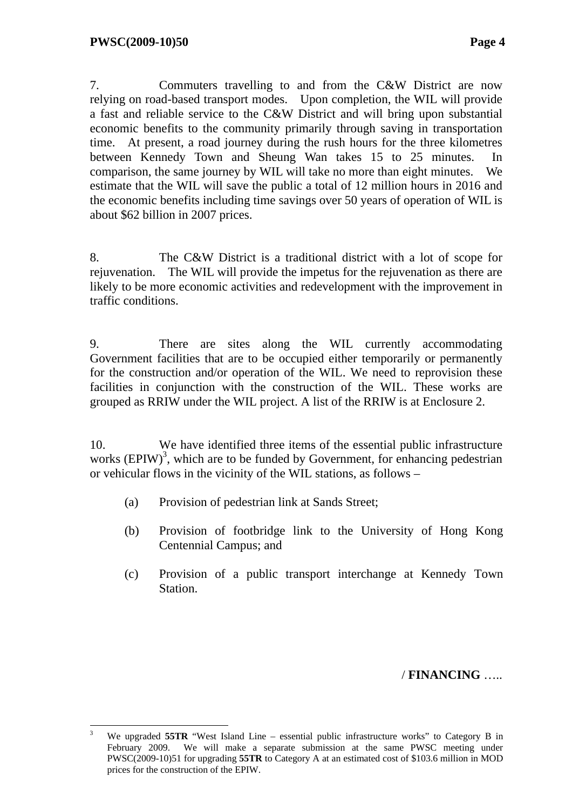7. Commuters travelling to and from the C&W District are now relying on road-based transport modes. Upon completion, the WIL will provide a fast and reliable service to the C&W District and will bring upon substantial economic benefits to the community primarily through saving in transportation time. At present, a road journey during the rush hours for the three kilometres between Kennedy Town and Sheung Wan takes 15 to 25 minutes. In comparison, the same journey by WIL will take no more than eight minutes. We estimate that the WIL will save the public a total of 12 million hours in 2016 and the economic benefits including time savings over 50 years of operation of WIL is about \$62 billion in 2007 prices.

8. The C&W District is a traditional district with a lot of scope for rejuvenation. The WIL will provide the impetus for the rejuvenation as there are likely to be more economic activities and redevelopment with the improvement in traffic conditions.

9. There are sites along the WIL currently accommodating Government facilities that are to be occupied either temporarily or permanently for the construction and/or operation of the WIL. We need to reprovision these facilities in conjunction with the construction of the WIL. These works are grouped as RRIW under the WIL project. A list of the RRIW is at Enclosure 2.

10. We have identified three items of the essential public infrastructure works  $(EPIW)^3$ , which are to be funded by Government, for enhancing pedestrian or vehicular flows in the vicinity of the WIL stations, as follows –

- (a) Provision of pedestrian link at Sands Street;
- (b) Provision of footbridge link to the University of Hong Kong Centennial Campus; and
- (c) Provision of a public transport interchange at Kennedy Town Station.

### / **FINANCING** …..

 3 We upgraded **55TR** "West Island Line – essential public infrastructure works" to Category B in February 2009. We will make a separate submission at the same PWSC meeting under PWSC(2009-10)51 for upgrading **55TR** to Category A at an estimated cost of \$103.6 million in MOD prices for the construction of the EPIW.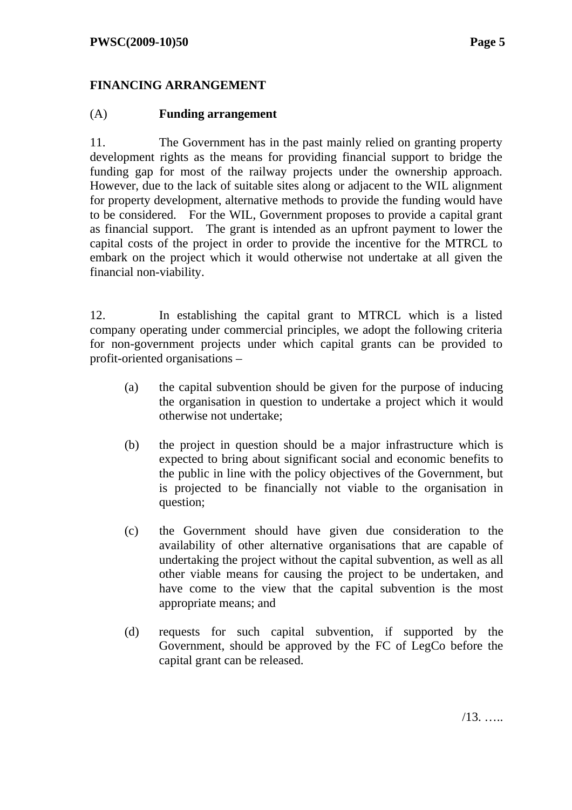### **FINANCING ARRANGEMENT**

#### (A) **Funding arrangement**

11. The Government has in the past mainly relied on granting property development rights as the means for providing financial support to bridge the funding gap for most of the railway projects under the ownership approach. However, due to the lack of suitable sites along or adjacent to the WIL alignment for property development, alternative methods to provide the funding would have to be considered. For the WIL, Government proposes to provide a capital grant as financial support. The grant is intended as an upfront payment to lower the capital costs of the project in order to provide the incentive for the MTRCL to embark on the project which it would otherwise not undertake at all given the financial non-viability.

12. In establishing the capital grant to MTRCL which is a listed company operating under commercial principles, we adopt the following criteria for non-government projects under which capital grants can be provided to profit-oriented organisations –

- (a) the capital subvention should be given for the purpose of inducing the organisation in question to undertake a project which it would otherwise not undertake;
- (b) the project in question should be a major infrastructure which is expected to bring about significant social and economic benefits to the public in line with the policy objectives of the Government, but is projected to be financially not viable to the organisation in question;
- (c) the Government should have given due consideration to the availability of other alternative organisations that are capable of undertaking the project without the capital subvention, as well as all other viable means for causing the project to be undertaken, and have come to the view that the capital subvention is the most appropriate means; and
- (d) requests for such capital subvention, if supported by the Government, should be approved by the FC of LegCo before the capital grant can be released.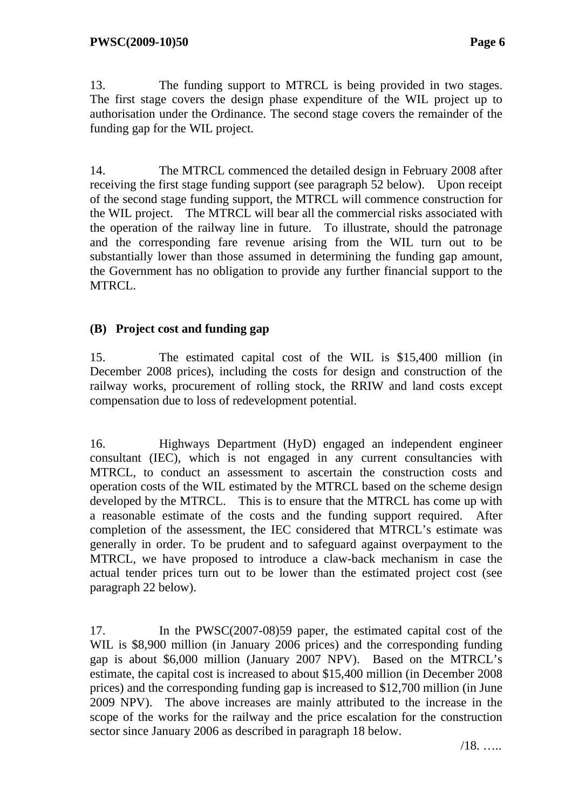13. The funding support to MTRCL is being provided in two stages. The first stage covers the design phase expenditure of the WIL project up to authorisation under the Ordinance. The second stage covers the remainder of the funding gap for the WIL project.

14. The MTRCL commenced the detailed design in February 2008 after receiving the first stage funding support (see paragraph 52 below). Upon receipt of the second stage funding support, the MTRCL will commence construction for the WIL project. The MTRCL will bear all the commercial risks associated with the operation of the railway line in future. To illustrate, should the patronage and the corresponding fare revenue arising from the WIL turn out to be substantially lower than those assumed in determining the funding gap amount, the Government has no obligation to provide any further financial support to the MTRCL.

### **(B) Project cost and funding gap**

15. The estimated capital cost of the WIL is \$15,400 million (in December 2008 prices), including the costs for design and construction of the railway works, procurement of rolling stock, the RRIW and land costs except compensation due to loss of redevelopment potential.

16. Highways Department (HyD) engaged an independent engineer consultant (IEC), which is not engaged in any current consultancies with MTRCL, to conduct an assessment to ascertain the construction costs and operation costs of the WIL estimated by the MTRCL based on the scheme design developed by the MTRCL. This is to ensure that the MTRCL has come up with a reasonable estimate of the costs and the funding support required. After completion of the assessment, the IEC considered that MTRCL's estimate was generally in order. To be prudent and to safeguard against overpayment to the MTRCL, we have proposed to introduce a claw-back mechanism in case the actual tender prices turn out to be lower than the estimated project cost (see paragraph 22 below).

17. In the PWSC(2007-08)59 paper, the estimated capital cost of the WIL is \$8,900 million (in January 2006 prices) and the corresponding funding gap is about \$6,000 million (January 2007 NPV). Based on the MTRCL's estimate, the capital cost is increased to about \$15,400 million (in December 2008 prices) and the corresponding funding gap is increased to \$12,700 million (in June 2009 NPV). The above increases are mainly attributed to the increase in the scope of the works for the railway and the price escalation for the construction sector since January 2006 as described in paragraph 18 below.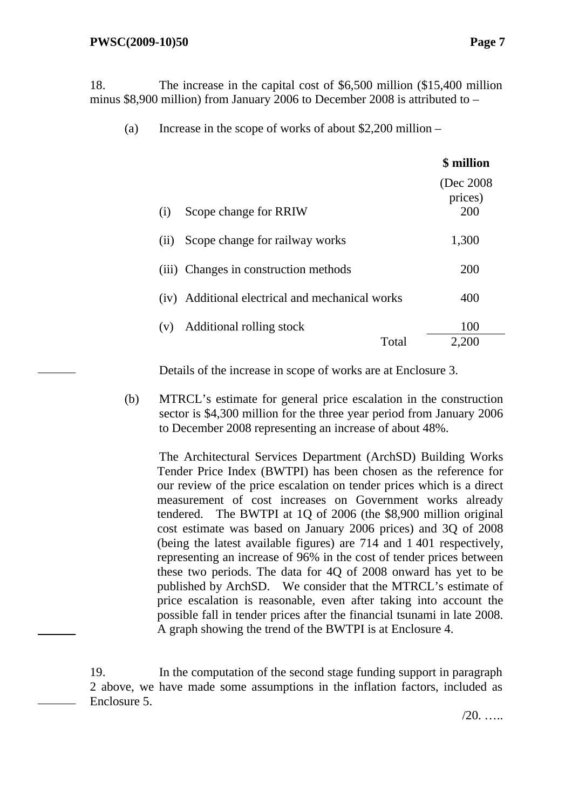18. The increase in the capital cost of \$6,500 million (\$15,400 million minus \$8,900 million) from January 2006 to December 2008 is attributed to –

(a) Increase in the scope of works of about \$2,200 million –

|                                                    | \$ million                   |
|----------------------------------------------------|------------------------------|
| Scope change for RRIW<br>(i)                       | (Dec 2008)<br>prices)<br>200 |
| Scope change for railway works<br>(ii)             | 1,300                        |
| (iii) Changes in construction methods              | 200                          |
| Additional electrical and mechanical works<br>(iv) | 400                          |
| Additional rolling stock<br>(v)<br>Total           | 100<br>2,200                 |
|                                                    |                              |

Details of the increase in scope of works are at Enclosure 3.

(b) MTRCL's estimate for general price escalation in the construction sector is \$4,300 million for the three year period from January 2006 to December 2008 representing an increase of about 48%.

The Architectural Services Department (ArchSD) Building Works Tender Price Index (BWTPI) has been chosen as the reference for our review of the price escalation on tender prices which is a direct measurement of cost increases on Government works already tendered. The BWTPI at 1Q of 2006 (the \$8,900 million original cost estimate was based on January 2006 prices) and 3Q of 2008 (being the latest available figures) are 714 and 1 401 respectively, representing an increase of 96% in the cost of tender prices between these two periods. The data for 4Q of 2008 onward has yet to be published by ArchSD. We consider that the MTRCL's estimate of price escalation is reasonable, even after taking into account the possible fall in tender prices after the financial tsunami in late 2008. A graph showing the trend of the BWTPI is at Enclosure 4.

19. In the computation of the second stage funding support in paragraph 2 above, we have made some assumptions in the inflation factors, included as Enclosure 5.

 $/20$ . ….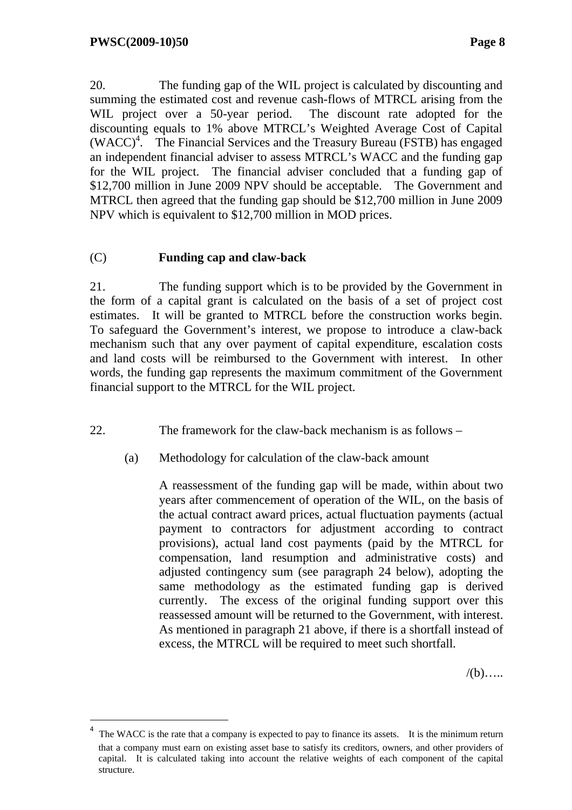20. The funding gap of the WIL project is calculated by discounting and summing the estimated cost and revenue cash-flows of MTRCL arising from the WIL project over a 50-year period. The discount rate adopted for the discounting equals to 1% above MTRCL's Weighted Average Cost of Capital (WACC)4 . The Financial Services and the Treasury Bureau (FSTB) has engaged an independent financial adviser to assess MTRCL's WACC and the funding gap for the WIL project. The financial adviser concluded that a funding gap of \$12,700 million in June 2009 NPV should be acceptable. The Government and MTRCL then agreed that the funding gap should be \$12,700 million in June 2009 NPV which is equivalent to \$12,700 million in MOD prices.

#### (C) **Funding cap and claw-back**

21. The funding support which is to be provided by the Government in the form of a capital grant is calculated on the basis of a set of project cost estimates. It will be granted to MTRCL before the construction works begin. To safeguard the Government's interest, we propose to introduce a claw-back mechanism such that any over payment of capital expenditure, escalation costs and land costs will be reimbursed to the Government with interest. In other words, the funding gap represents the maximum commitment of the Government financial support to the MTRCL for the WIL project.

22. The framework for the claw-back mechanism is as follows –

(a) Methodology for calculation of the claw-back amount

A reassessment of the funding gap will be made, within about two years after commencement of operation of the WIL, on the basis of the actual contract award prices, actual fluctuation payments (actual payment to contractors for adjustment according to contract provisions), actual land cost payments (paid by the MTRCL for compensation, land resumption and administrative costs) and adjusted contingency sum (see paragraph 24 below), adopting the same methodology as the estimated funding gap is derived currently. The excess of the original funding support over this reassessed amount will be returned to the Government, with interest. As mentioned in paragraph 21 above, if there is a shortfall instead of excess, the MTRCL will be required to meet such shortfall.

 $/(b)$ …..

<sup>4</sup> The WACC is the rate that a company is expected to pay to finance its assets. It is the minimum return that a company must earn on existing asset base to satisfy its creditors, owners, and other providers of capital. It is calculated taking into account the relative weights of each component of the capital structure.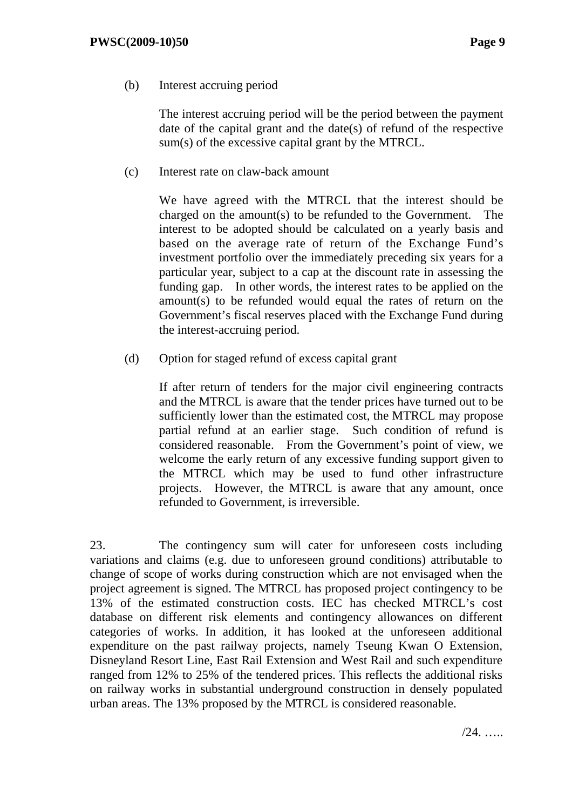(b) Interest accruing period

The interest accruing period will be the period between the payment date of the capital grant and the date(s) of refund of the respective sum(s) of the excessive capital grant by the MTRCL.

(c) Interest rate on claw-back amount

We have agreed with the MTRCL that the interest should be charged on the amount(s) to be refunded to the Government. The interest to be adopted should be calculated on a yearly basis and based on the average rate of return of the Exchange Fund's investment portfolio over the immediately preceding six years for a particular year, subject to a cap at the discount rate in assessing the funding gap. In other words, the interest rates to be applied on the amount(s) to be refunded would equal the rates of return on the Government's fiscal reserves placed with the Exchange Fund during the interest-accruing period.

(d) Option for staged refund of excess capital grant

If after return of tenders for the major civil engineering contracts and the MTRCL is aware that the tender prices have turned out to be sufficiently lower than the estimated cost, the MTRCL may propose partial refund at an earlier stage. Such condition of refund is considered reasonable. From the Government's point of view, we welcome the early return of any excessive funding support given to the MTRCL which may be used to fund other infrastructure projects. However, the MTRCL is aware that any amount, once refunded to Government, is irreversible.

23. The contingency sum will cater for unforeseen costs including variations and claims (e.g. due to unforeseen ground conditions) attributable to change of scope of works during construction which are not envisaged when the project agreement is signed. The MTRCL has proposed project contingency to be 13% of the estimated construction costs. IEC has checked MTRCL's cost database on different risk elements and contingency allowances on different categories of works. In addition, it has looked at the unforeseen additional expenditure on the past railway projects, namely Tseung Kwan O Extension, Disneyland Resort Line, East Rail Extension and West Rail and such expenditure ranged from 12% to 25% of the tendered prices. This reflects the additional risks on railway works in substantial underground construction in densely populated urban areas. The 13% proposed by the MTRCL is considered reasonable.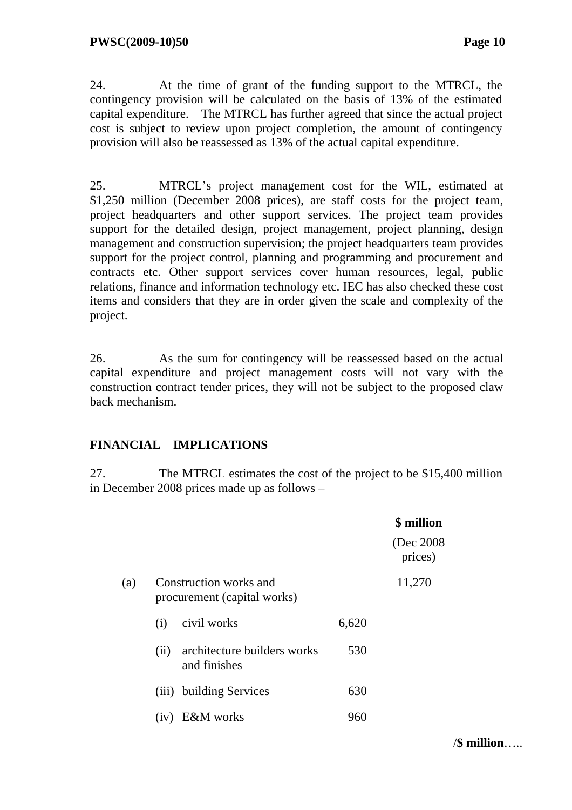24. At the time of grant of the funding support to the MTRCL, the contingency provision will be calculated on the basis of 13% of the estimated capital expenditure. The MTRCL has further agreed that since the actual project cost is subject to review upon project completion, the amount of contingency provision will also be reassessed as 13% of the actual capital expenditure.

25. MTRCL's project management cost for the WIL, estimated at \$1,250 million (December 2008 prices), are staff costs for the project team, project headquarters and other support services. The project team provides support for the detailed design, project management, project planning, design management and construction supervision; the project headquarters team provides support for the project control, planning and programming and procurement and contracts etc. Other support services cover human resources, legal, public relations, finance and information technology etc. IEC has also checked these cost items and considers that they are in order given the scale and complexity of the project.

26. As the sum for contingency will be reassessed based on the actual capital expenditure and project management costs will not vary with the construction contract tender prices, they will not be subject to the proposed claw back mechanism.

### **FINANCIAL IMPLICATIONS**

27. The MTRCL estimates the cost of the project to be \$15,400 million in December 2008 prices made up as follows –

|     |      |                                                       |       | \$ million            |
|-----|------|-------------------------------------------------------|-------|-----------------------|
|     |      |                                                       |       | (Dec 2008)<br>prices) |
| (a) |      | Construction works and<br>procurement (capital works) |       | 11,270                |
|     | (i)  | civil works                                           | 6,620 |                       |
|     | (ii) | architecture builders works<br>and finishes           | 530   |                       |
|     |      | (iii) building Services                               | 630   |                       |
|     | (1V) | <b>E&amp;M</b> works                                  | 960   |                       |

/**\$ million**…..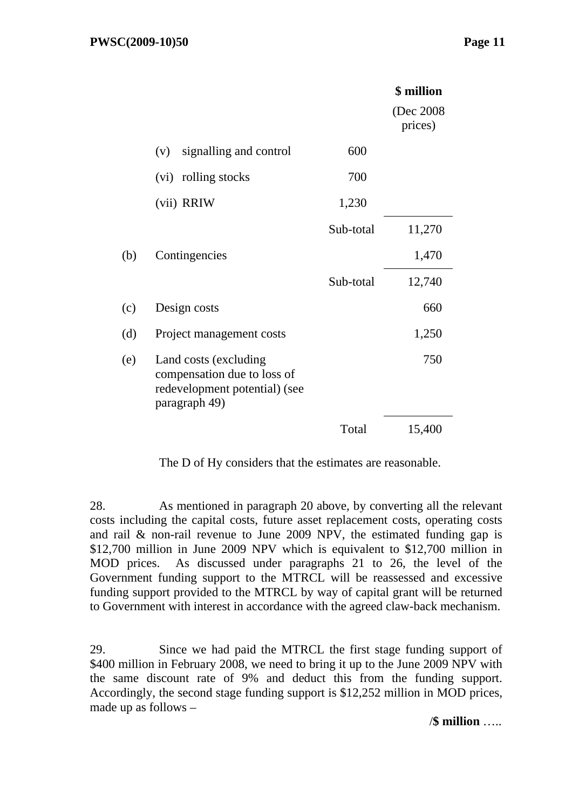|     |                                                                                                        |           | \$ million            |
|-----|--------------------------------------------------------------------------------------------------------|-----------|-----------------------|
|     |                                                                                                        |           | (Dec 2008)<br>prices) |
|     | signalling and control<br>(v)                                                                          | 600       |                       |
|     | rolling stocks<br>(vi)                                                                                 | 700       |                       |
|     | (vii) RRIW                                                                                             | 1,230     |                       |
|     |                                                                                                        | Sub-total | 11,270                |
| (b) | Contingencies                                                                                          |           | 1,470                 |
|     |                                                                                                        | Sub-total | 12,740                |
| (c) | Design costs                                                                                           |           | 660                   |
| (d) | Project management costs                                                                               |           | 1,250                 |
| (e) | Land costs (excluding<br>compensation due to loss of<br>redevelopment potential) (see<br>paragraph 49) |           | 750                   |
|     |                                                                                                        | Total     | 15,400                |

The D of Hy considers that the estimates are reasonable.

28. As mentioned in paragraph 20 above, by converting all the relevant costs including the capital costs, future asset replacement costs, operating costs and rail & non-rail revenue to June 2009 NPV, the estimated funding gap is \$12,700 million in June 2009 NPV which is equivalent to \$12,700 million in MOD prices. As discussed under paragraphs 21 to 26, the level of the Government funding support to the MTRCL will be reassessed and excessive funding support provided to the MTRCL by way of capital grant will be returned to Government with interest in accordance with the agreed claw-back mechanism.

29. Since we had paid the MTRCL the first stage funding support of \$400 million in February 2008, we need to bring it up to the June 2009 NPV with the same discount rate of 9% and deduct this from the funding support. Accordingly, the second stage funding support is \$12,252 million in MOD prices, made up as follows –

/**\$ million** …..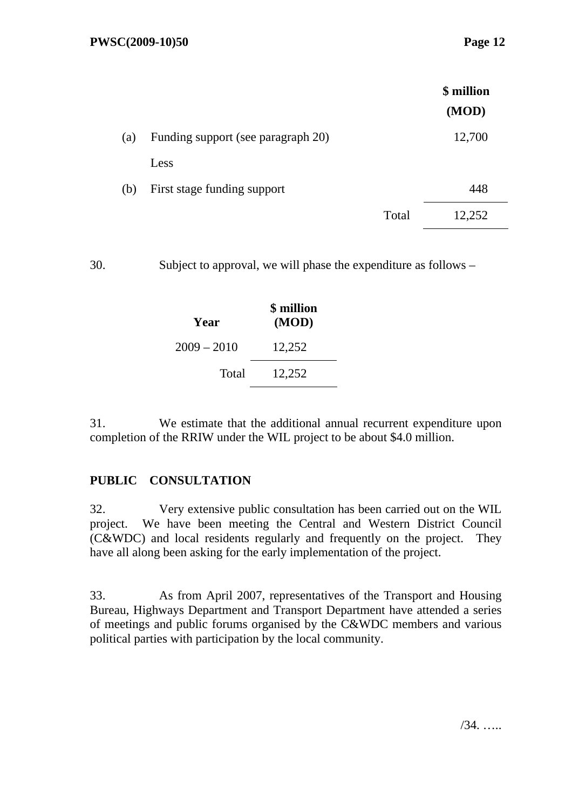|     |                                    |       | \$ million |
|-----|------------------------------------|-------|------------|
|     |                                    |       | (MOD)      |
| (a) | Funding support (see paragraph 20) |       | 12,700     |
|     | Less                               |       |            |
| (b) | First stage funding support        |       | 448        |
|     |                                    | Total | 12,252     |

30. Subject to approval, we will phase the expenditure as follows –

| Year          | \$ million<br>(MOD) |  |
|---------------|---------------------|--|
| $2009 - 2010$ | 12,252              |  |
| Total         | 12,252              |  |

31. We estimate that the additional annual recurrent expenditure upon completion of the RRIW under the WIL project to be about \$4.0 million.

### **PUBLIC CONSULTATION**

32. Very extensive public consultation has been carried out on the WIL project. We have been meeting the Central and Western District Council (C&WDC) and local residents regularly and frequently on the project. They have all along been asking for the early implementation of the project.

33. As from April 2007, representatives of the Transport and Housing Bureau, Highways Department and Transport Department have attended a series of meetings and public forums organised by the C&WDC members and various political parties with participation by the local community.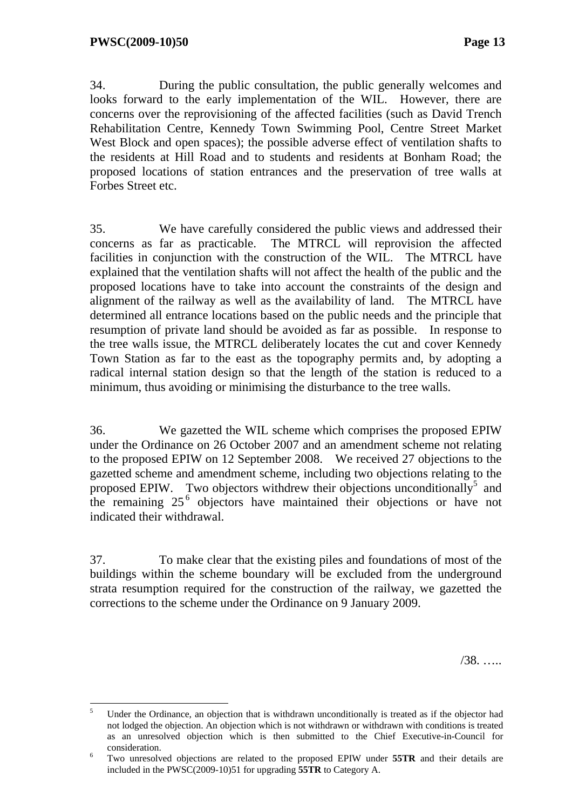34. During the public consultation, the public generally welcomes and looks forward to the early implementation of the WIL. However, there are concerns over the reprovisioning of the affected facilities (such as David Trench Rehabilitation Centre, Kennedy Town Swimming Pool, Centre Street Market West Block and open spaces); the possible adverse effect of ventilation shafts to the residents at Hill Road and to students and residents at Bonham Road; the proposed locations of station entrances and the preservation of tree walls at Forbes Street etc.

35. We have carefully considered the public views and addressed their concerns as far as practicable. The MTRCL will reprovision the affected facilities in conjunction with the construction of the WIL. The MTRCL have explained that the ventilation shafts will not affect the health of the public and the proposed locations have to take into account the constraints of the design and alignment of the railway as well as the availability of land. The MTRCL have determined all entrance locations based on the public needs and the principle that resumption of private land should be avoided as far as possible. In response to the tree walls issue, the MTRCL deliberately locates the cut and cover Kennedy Town Station as far to the east as the topography permits and, by adopting a radical internal station design so that the length of the station is reduced to a minimum, thus avoiding or minimising the disturbance to the tree walls.

36. We gazetted the WIL scheme which comprises the proposed EPIW under the Ordinance on 26 October 2007 and an amendment scheme not relating to the proposed EPIW on 12 September 2008. We received 27 objections to the gazetted scheme and amendment scheme, including two objections relating to the proposed EPIW. Two objectors withdrew their objections unconditionally<sup>5</sup> and the remaining  $25<sup>6</sup>$  objectors have maintained their objections or have not indicated their withdrawal.

37. To make clear that the existing piles and foundations of most of the buildings within the scheme boundary will be excluded from the underground strata resumption required for the construction of the railway, we gazetted the corrections to the scheme under the Ordinance on 9 January 2009.

/38. …..

 5 Under the Ordinance, an objection that is withdrawn unconditionally is treated as if the objector had not lodged the objection. An objection which is not withdrawn or withdrawn with conditions is treated as an unresolved objection which is then submitted to the Chief Executive-in-Council for consideration.

Two unresolved objections are related to the proposed EPIW under **55TR** and their details are included in the PWSC(2009-10)51 for upgrading **55TR** to Category A.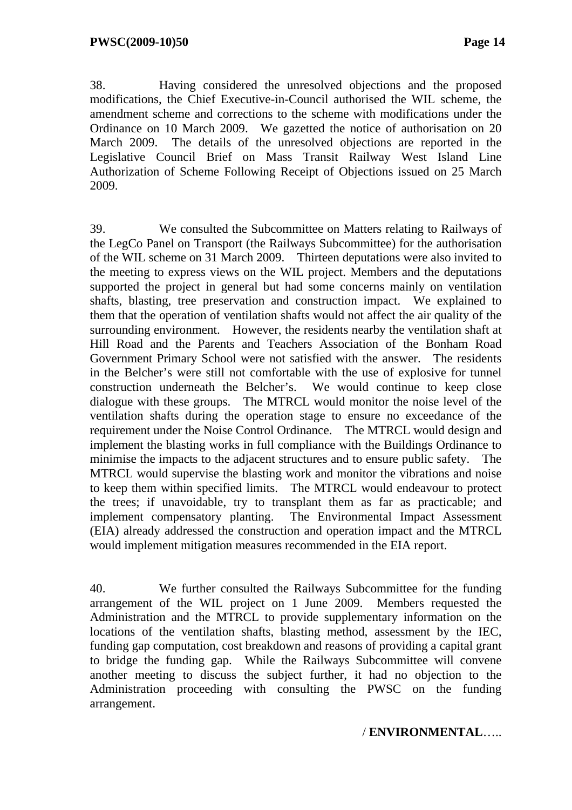38. Having considered the unresolved objections and the proposed modifications, the Chief Executive-in-Council authorised the WIL scheme, the amendment scheme and corrections to the scheme with modifications under the Ordinance on 10 March 2009. We gazetted the notice of authorisation on 20 March 2009. The details of the unresolved objections are reported in the Legislative Council Brief on Mass Transit Railway West Island Line Authorization of Scheme Following Receipt of Objections issued on 25 March 2009.

39. We consulted the Subcommittee on Matters relating to Railways of the LegCo Panel on Transport (the Railways Subcommittee) for the authorisation of the WIL scheme on 31 March 2009. Thirteen deputations were also invited to the meeting to express views on the WIL project. Members and the deputations supported the project in general but had some concerns mainly on ventilation shafts, blasting, tree preservation and construction impact. We explained to them that the operation of ventilation shafts would not affect the air quality of the surrounding environment. However, the residents nearby the ventilation shaft at Hill Road and the Parents and Teachers Association of the Bonham Road Government Primary School were not satisfied with the answer. The residents in the Belcher's were still not comfortable with the use of explosive for tunnel construction underneath the Belcher's. We would continue to keep close dialogue with these groups. The MTRCL would monitor the noise level of the ventilation shafts during the operation stage to ensure no exceedance of the requirement under the Noise Control Ordinance. The MTRCL would design and implement the blasting works in full compliance with the Buildings Ordinance to minimise the impacts to the adjacent structures and to ensure public safety. The MTRCL would supervise the blasting work and monitor the vibrations and noise to keep them within specified limits. The MTRCL would endeavour to protect the trees; if unavoidable, try to transplant them as far as practicable; and implement compensatory planting. The Environmental Impact Assessment (EIA) already addressed the construction and operation impact and the MTRCL would implement mitigation measures recommended in the EIA report.

40. We further consulted the Railways Subcommittee for the funding arrangement of the WIL project on 1 June 2009. Members requested the Administration and the MTRCL to provide supplementary information on the locations of the ventilation shafts, blasting method, assessment by the IEC, funding gap computation, cost breakdown and reasons of providing a capital grant to bridge the funding gap. While the Railways Subcommittee will convene another meeting to discuss the subject further, it had no objection to the Administration proceeding with consulting the PWSC on the funding arrangement.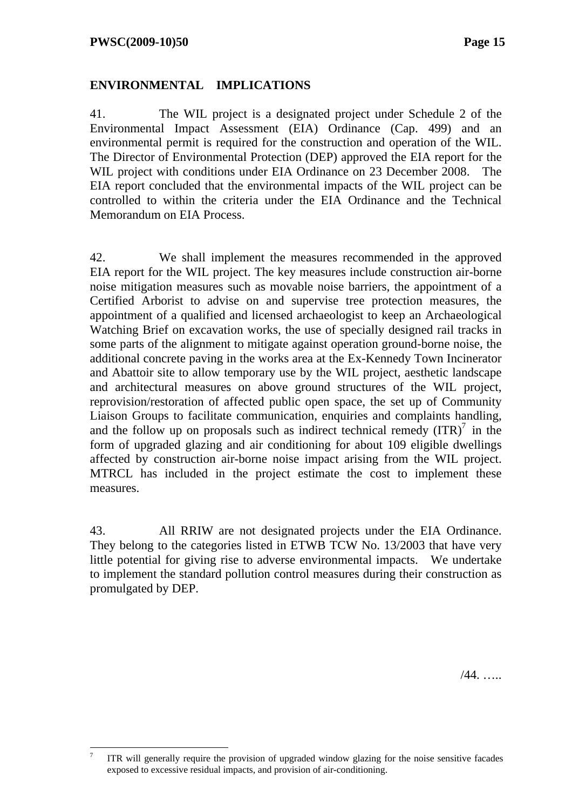$\overline{a}$ 

### **ENVIRONMENTAL IMPLICATIONS**

41. The WIL project is a designated project under Schedule 2 of the Environmental Impact Assessment (EIA) Ordinance (Cap. 499) and an environmental permit is required for the construction and operation of the WIL. The Director of Environmental Protection (DEP) approved the EIA report for the WIL project with conditions under EIA Ordinance on 23 December 2008. The EIA report concluded that the environmental impacts of the WIL project can be controlled to within the criteria under the EIA Ordinance and the Technical Memorandum on EIA Process.

42. We shall implement the measures recommended in the approved EIA report for the WIL project. The key measures include construction air-borne noise mitigation measures such as movable noise barriers, the appointment of a Certified Arborist to advise on and supervise tree protection measures, the appointment of a qualified and licensed archaeologist to keep an Archaeological Watching Brief on excavation works, the use of specially designed rail tracks in some parts of the alignment to mitigate against operation ground-borne noise, the additional concrete paving in the works area at the Ex-Kennedy Town Incinerator and Abattoir site to allow temporary use by the WIL project, aesthetic landscape and architectural measures on above ground structures of the WIL project, reprovision/restoration of affected public open space, the set up of Community Liaison Groups to facilitate communication, enquiries and complaints handling, and the follow up on proposals such as indirect technical remedy  $(ITR)<sup>7</sup>$  in the form of upgraded glazing and air conditioning for about 109 eligible dwellings affected by construction air-borne noise impact arising from the WIL project. MTRCL has included in the project estimate the cost to implement these measures.

43. All RRIW are not designated projects under the EIA Ordinance. They belong to the categories listed in ETWB TCW No. 13/2003 that have very little potential for giving rise to adverse environmental impacts. We undertake to implement the standard pollution control measures during their construction as promulgated by DEP.

/44. …..

<sup>7</sup> ITR will generally require the provision of upgraded window glazing for the noise sensitive facades exposed to excessive residual impacts, and provision of air-conditioning.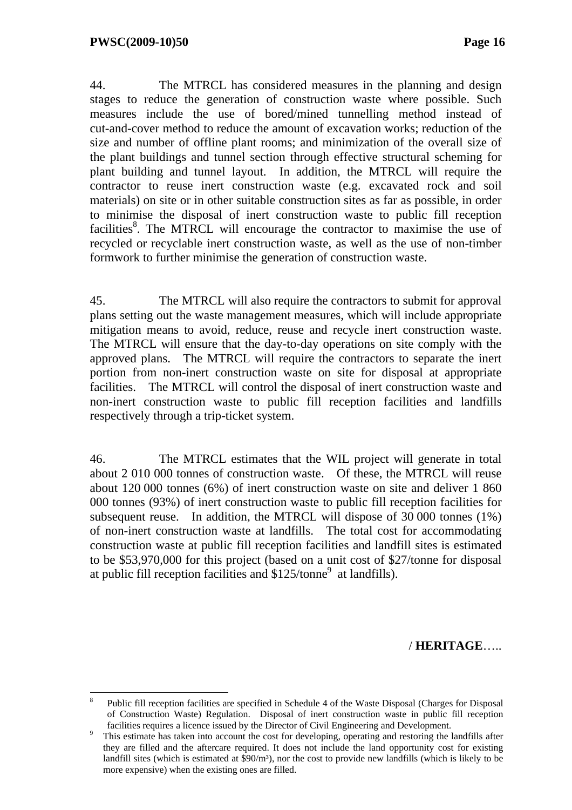44. The MTRCL has considered measures in the planning and design stages to reduce the generation of construction waste where possible. Such measures include the use of bored/mined tunnelling method instead of cut-and-cover method to reduce the amount of excavation works; reduction of the size and number of offline plant rooms; and minimization of the overall size of the plant buildings and tunnel section through effective structural scheming for plant building and tunnel layout. In addition, the MTRCL will require the contractor to reuse inert construction waste (e.g. excavated rock and soil materials) on site or in other suitable construction sites as far as possible, in order to minimise the disposal of inert construction waste to public fill reception facilities<sup>8</sup>. The MTRCL will encourage the contractor to maximise the use of recycled or recyclable inert construction waste, as well as the use of non-timber formwork to further minimise the generation of construction waste.

45. The MTRCL will also require the contractors to submit for approval plans setting out the waste management measures, which will include appropriate mitigation means to avoid, reduce, reuse and recycle inert construction waste. The MTRCL will ensure that the day-to-day operations on site comply with the approved plans. The MTRCL will require the contractors to separate the inert portion from non-inert construction waste on site for disposal at appropriate facilities. The MTRCL will control the disposal of inert construction waste and non-inert construction waste to public fill reception facilities and landfills respectively through a trip-ticket system.

46. The MTRCL estimates that the WIL project will generate in total about 2 010 000 tonnes of construction waste. Of these, the MTRCL will reuse about 120 000 tonnes (6%) of inert construction waste on site and deliver 1 860 000 tonnes (93%) of inert construction waste to public fill reception facilities for subsequent reuse. In addition, the MTRCL will dispose of 30 000 tonnes (1%) of non-inert construction waste at landfills. The total cost for accommodating construction waste at public fill reception facilities and landfill sites is estimated to be \$53,970,000 for this project (based on a unit cost of \$27/tonne for disposal at public fill reception facilities and  $$125/tonne<sup>9</sup>$  at landfills).

#### / **HERITAGE**…..

<sup>8</sup> <sup>8</sup> Public fill reception facilities are specified in Schedule 4 of the Waste Disposal (Charges for Disposal of Construction Waste) Regulation. Disposal of inert construction waste in public fill reception facilities requires a licence issued by the Director of Civil Engineering and Development.<br><sup>9</sup> This estimate has taken into account the cost for developing, operating and restoring the landfills after

they are filled and the aftercare required. It does not include the land opportunity cost for existing landfill sites (which is estimated at  $\frac{90}{m^3}$ ), nor the cost to provide new landfills (which is likely to be more expensive) when the existing ones are filled.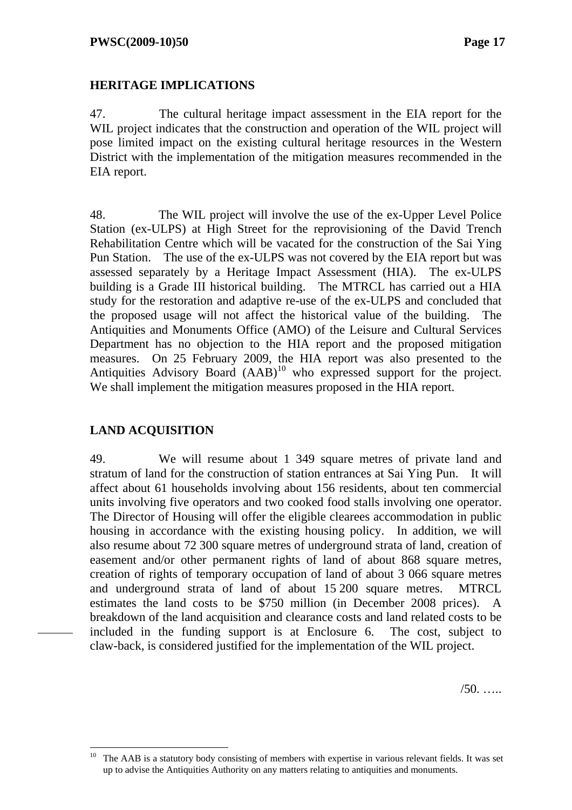### **HERITAGE IMPLICATIONS**

47. The cultural heritage impact assessment in the EIA report for the WIL project indicates that the construction and operation of the WIL project will pose limited impact on the existing cultural heritage resources in the Western District with the implementation of the mitigation measures recommended in the EIA report.

48. The WIL project will involve the use of the ex-Upper Level Police Station (ex-ULPS) at High Street for the reprovisioning of the David Trench Rehabilitation Centre which will be vacated for the construction of the Sai Ying Pun Station. The use of the ex-ULPS was not covered by the EIA report but was assessed separately by a Heritage Impact Assessment (HIA). The ex-ULPS building is a Grade III historical building. The MTRCL has carried out a HIA study for the restoration and adaptive re-use of the ex-ULPS and concluded that the proposed usage will not affect the historical value of the building. The Antiquities and Monuments Office (AMO) of the Leisure and Cultural Services Department has no objection to the HIA report and the proposed mitigation measures. On 25 February 2009, the HIA report was also presented to the Antiquities Advisory Board  $(AAB)^{10}$  who expressed support for the project. We shall implement the mitigation measures proposed in the HIA report.

### **LAND ACQUISITION**

 $\overline{a}$ 

49. We will resume about 1 349 square metres of private land and stratum of land for the construction of station entrances at Sai Ying Pun. It will affect about 61 households involving about 156 residents, about ten commercial units involving five operators and two cooked food stalls involving one operator. The Director of Housing will offer the eligible clearees accommodation in public housing in accordance with the existing housing policy. In addition, we will also resume about 72 300 square metres of underground strata of land, creation of easement and/or other permanent rights of land of about 868 square metres, creation of rights of temporary occupation of land of about 3 066 square metres and underground strata of land of about 15 200 square metres. MTRCL estimates the land costs to be \$750 million (in December 2008 prices). A breakdown of the land acquisition and clearance costs and land related costs to be included in the funding support is at Enclosure 6. The cost, subject to claw-back, is considered justified for the implementation of the WIL project.

 $/50.$  ….

The AAB is a statutory body consisting of members with expertise in various relevant fields. It was set up to advise the Antiquities Authority on any matters relating to antiquities and monuments.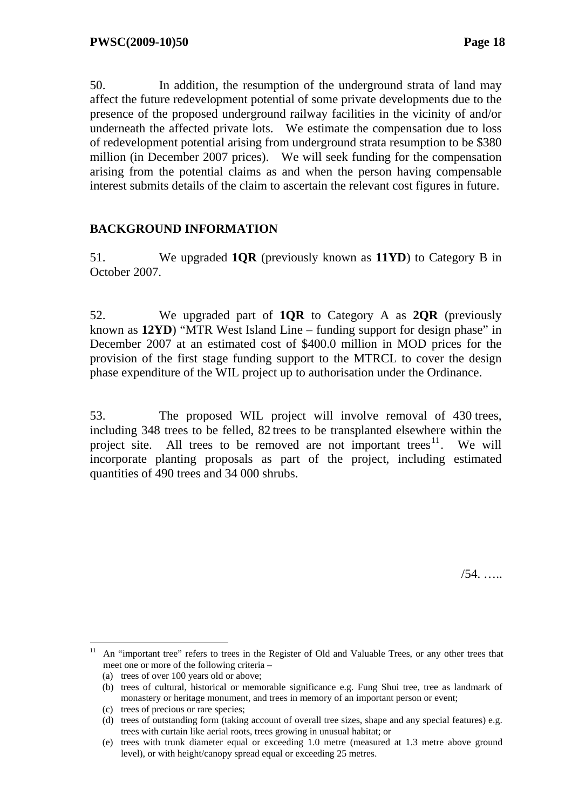50. In addition, the resumption of the underground strata of land may affect the future redevelopment potential of some private developments due to the presence of the proposed underground railway facilities in the vicinity of and/or underneath the affected private lots. We estimate the compensation due to loss of redevelopment potential arising from underground strata resumption to be \$380 million (in December 2007 prices). We will seek funding for the compensation arising from the potential claims as and when the person having compensable interest submits details of the claim to ascertain the relevant cost figures in future.

### **BACKGROUND INFORMATION**

51. We upgraded **1QR** (previously known as **11YD**) to Category B in October 2007.

52. We upgraded part of **1QR** to Category A as **2QR** (previously known as **12YD**) "MTR West Island Line – funding support for design phase" in December 2007 at an estimated cost of \$400.0 million in MOD prices for the provision of the first stage funding support to the MTRCL to cover the design phase expenditure of the WIL project up to authorisation under the Ordinance.

53. The proposed WIL project will involve removal of 430 trees, including 348 trees to be felled, 82 trees to be transplanted elsewhere within the project site. All trees to be removed are not important trees<sup>11</sup>. We will incorporate planting proposals as part of the project, including estimated quantities of 490 trees and 34 000 shrubs.

/54. …..

 $\overline{a}$ 11 An "important tree" refers to trees in the Register of Old and Valuable Trees, or any other trees that meet one or more of the following criteria –

<sup>(</sup>a) trees of over 100 years old or above;

<sup>(</sup>b) trees of cultural, historical or memorable significance e.g. Fung Shui tree, tree as landmark of monastery or heritage monument, and trees in memory of an important person or event;

<sup>(</sup>c) trees of precious or rare species;

<sup>(</sup>d) trees of outstanding form (taking account of overall tree sizes, shape and any special features) e.g. trees with curtain like aerial roots, trees growing in unusual habitat; or

<sup>(</sup>e) trees with trunk diameter equal or exceeding 1.0 metre (measured at 1.3 metre above ground level), or with height/canopy spread equal or exceeding 25 metres.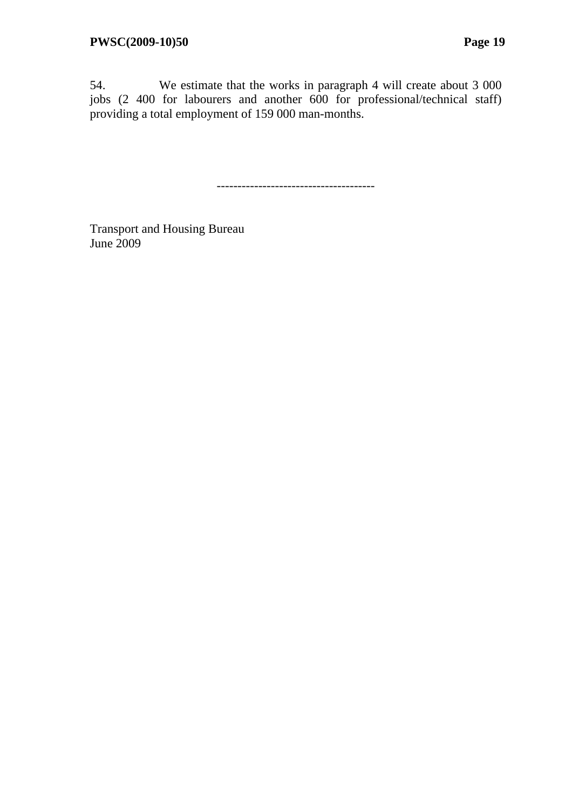54. We estimate that the works in paragraph 4 will create about 3 000 jobs (2 400 for labourers and another 600 for professional/technical staff) providing a total employment of 159 000 man-months.

--------------------------------------

Transport and Housing Bureau June 2009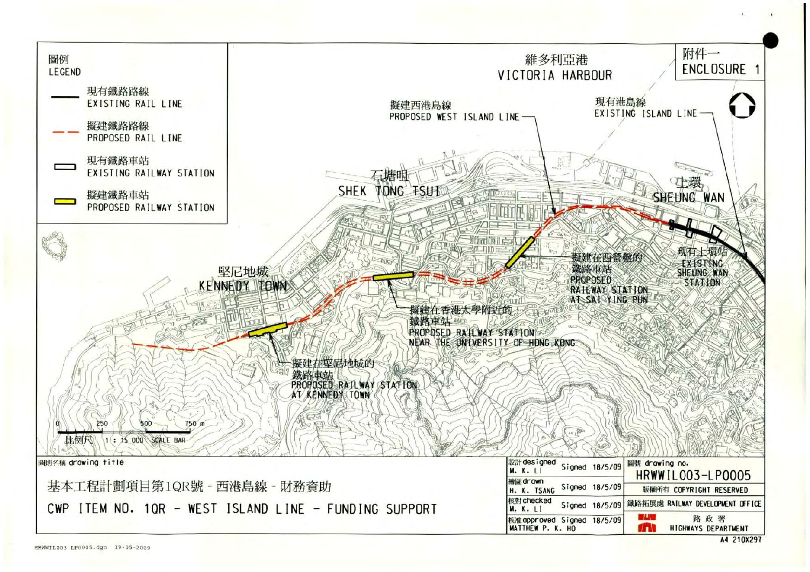

A4 210X297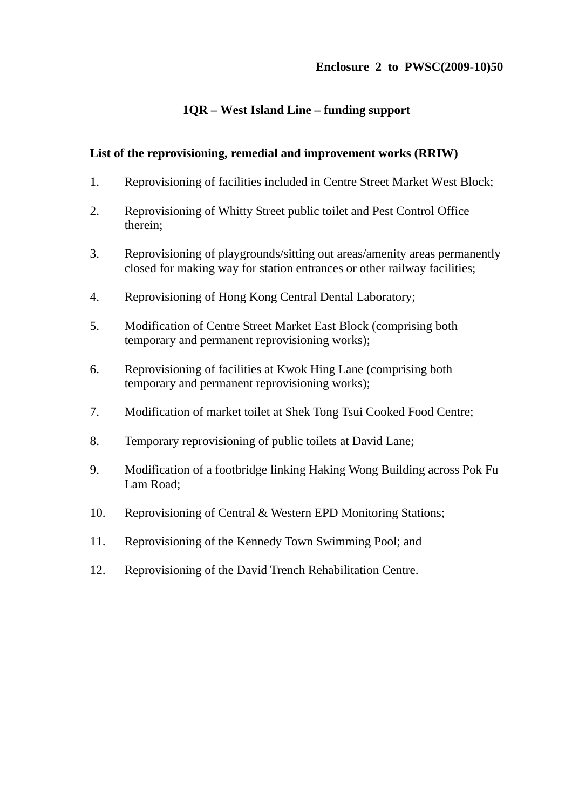#### **Enclosure 2 to PWSC(2009-10)50**

### **1QR – West Island Line – funding support**

#### **List of the reprovisioning, remedial and improvement works (RRIW)**

- 1. Reprovisioning of facilities included in Centre Street Market West Block;
- 2. Reprovisioning of Whitty Street public toilet and Pest Control Office therein;
- 3. Reprovisioning of playgrounds/sitting out areas/amenity areas permanently closed for making way for station entrances or other railway facilities;
- 4. Reprovisioning of Hong Kong Central Dental Laboratory;
- 5. Modification of Centre Street Market East Block (comprising both temporary and permanent reprovisioning works);
- 6. Reprovisioning of facilities at Kwok Hing Lane (comprising both temporary and permanent reprovisioning works);
- 7. Modification of market toilet at Shek Tong Tsui Cooked Food Centre;
- 8. Temporary reprovisioning of public toilets at David Lane;
- 9. Modification of a footbridge linking Haking Wong Building across Pok Fu Lam Road;
- 10. Reprovisioning of Central & Western EPD Monitoring Stations;
- 11. Reprovisioning of the Kennedy Town Swimming Pool; and
- 12. Reprovisioning of the David Trench Rehabilitation Centre.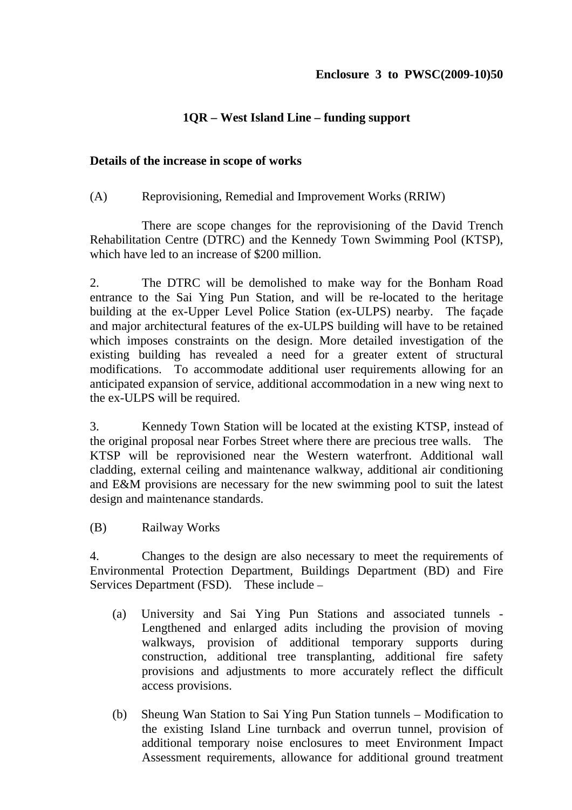### **1QR – West Island Line – funding support**

#### **Details of the increase in scope of works**

(A) Reprovisioning, Remedial and Improvement Works (RRIW)

 There are scope changes for the reprovisioning of the David Trench Rehabilitation Centre (DTRC) and the Kennedy Town Swimming Pool (KTSP), which have led to an increase of \$200 million.

2. The DTRC will be demolished to make way for the Bonham Road entrance to the Sai Ying Pun Station, and will be re-located to the heritage building at the ex-Upper Level Police Station (ex-ULPS) nearby. The façade and major architectural features of the ex-ULPS building will have to be retained which imposes constraints on the design. More detailed investigation of the existing building has revealed a need for a greater extent of structural modifications. To accommodate additional user requirements allowing for an anticipated expansion of service, additional accommodation in a new wing next to the ex-ULPS will be required.

3. Kennedy Town Station will be located at the existing KTSP, instead of the original proposal near Forbes Street where there are precious tree walls. The KTSP will be reprovisioned near the Western waterfront. Additional wall cladding, external ceiling and maintenance walkway, additional air conditioning and E&M provisions are necessary for the new swimming pool to suit the latest design and maintenance standards.

(B) Railway Works

4. Changes to the design are also necessary to meet the requirements of Environmental Protection Department, Buildings Department (BD) and Fire Services Department (FSD). These include –

- (a) University and Sai Ying Pun Stations and associated tunnels Lengthened and enlarged adits including the provision of moving walkways, provision of additional temporary supports during construction, additional tree transplanting, additional fire safety provisions and adjustments to more accurately reflect the difficult access provisions.
- (b) Sheung Wan Station to Sai Ying Pun Station tunnels Modification to the existing Island Line turnback and overrun tunnel, provision of additional temporary noise enclosures to meet Environment Impact Assessment requirements, allowance for additional ground treatment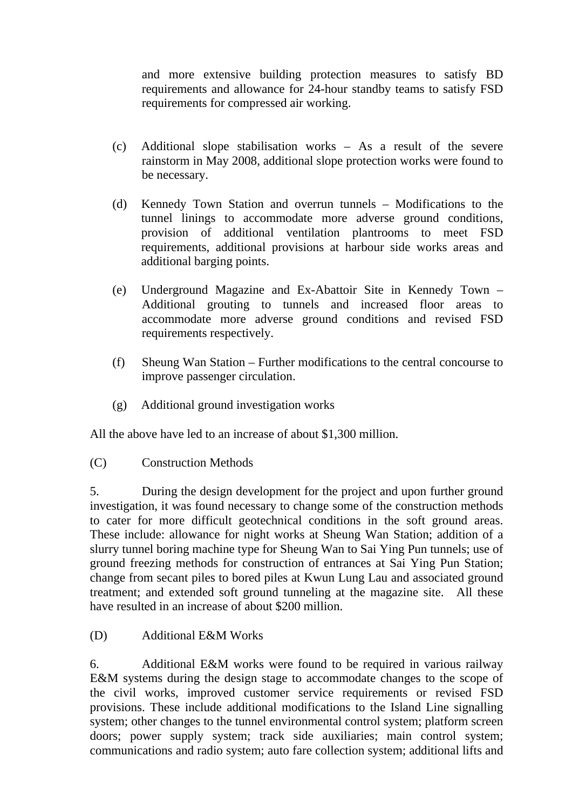and more extensive building protection measures to satisfy BD requirements and allowance for 24-hour standby teams to satisfy FSD requirements for compressed air working.

- (c) Additional slope stabilisation works As a result of the severe rainstorm in May 2008, additional slope protection works were found to be necessary.
- (d) Kennedy Town Station and overrun tunnels Modifications to the tunnel linings to accommodate more adverse ground conditions, provision of additional ventilation plantrooms to meet FSD requirements, additional provisions at harbour side works areas and additional barging points.
- (e) Underground Magazine and Ex-Abattoir Site in Kennedy Town Additional grouting to tunnels and increased floor areas to accommodate more adverse ground conditions and revised FSD requirements respectively.
- (f) Sheung Wan Station Further modifications to the central concourse to improve passenger circulation.
- (g) Additional ground investigation works

All the above have led to an increase of about \$1,300 million.

(C) Construction Methods

5. During the design development for the project and upon further ground investigation, it was found necessary to change some of the construction methods to cater for more difficult geotechnical conditions in the soft ground areas. These include: allowance for night works at Sheung Wan Station; addition of a slurry tunnel boring machine type for Sheung Wan to Sai Ying Pun tunnels; use of ground freezing methods for construction of entrances at Sai Ying Pun Station; change from secant piles to bored piles at Kwun Lung Lau and associated ground treatment; and extended soft ground tunneling at the magazine site. All these have resulted in an increase of about \$200 million.

(D) Additional E&M Works

6. Additional E&M works were found to be required in various railway E&M systems during the design stage to accommodate changes to the scope of the civil works, improved customer service requirements or revised FSD provisions. These include additional modifications to the Island Line signalling system; other changes to the tunnel environmental control system; platform screen doors; power supply system; track side auxiliaries; main control system; communications and radio system; auto fare collection system; additional lifts and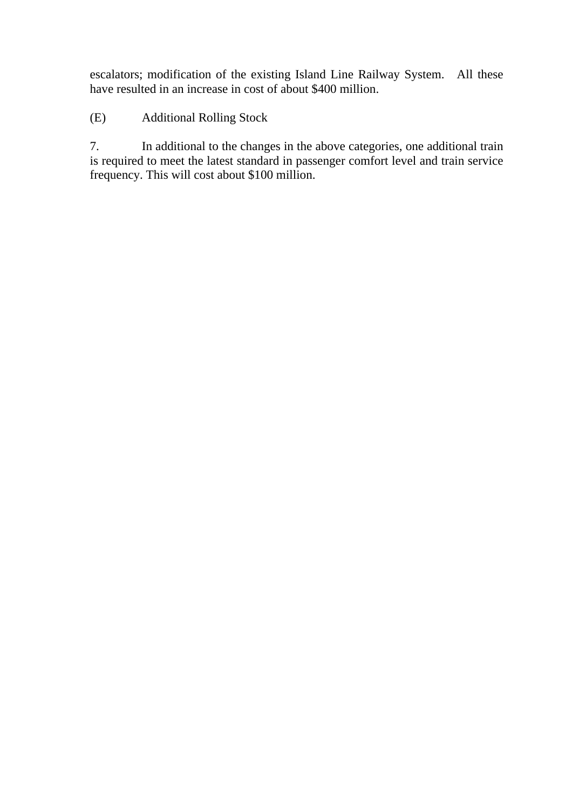escalators; modification of the existing Island Line Railway System. All these have resulted in an increase in cost of about \$400 million.

(E) Additional Rolling Stock

7. In additional to the changes in the above categories, one additional train is required to meet the latest standard in passenger comfort level and train service frequency. This will cost about \$100 million.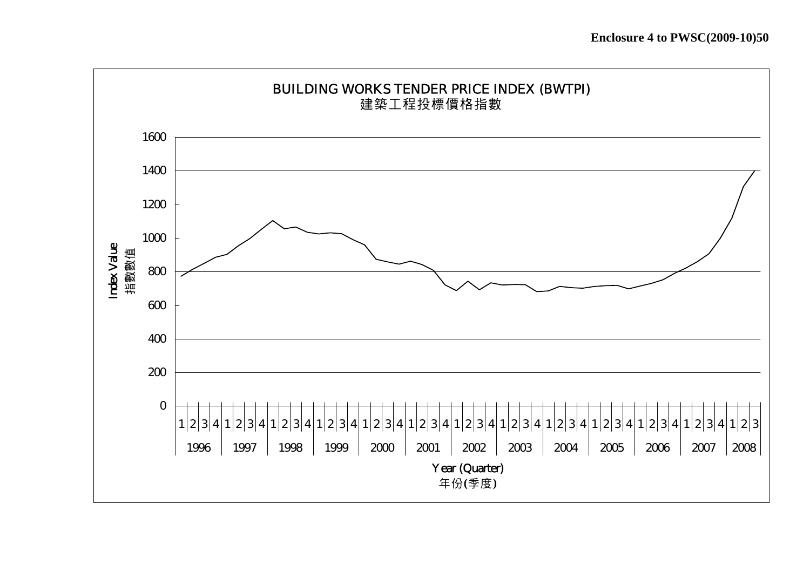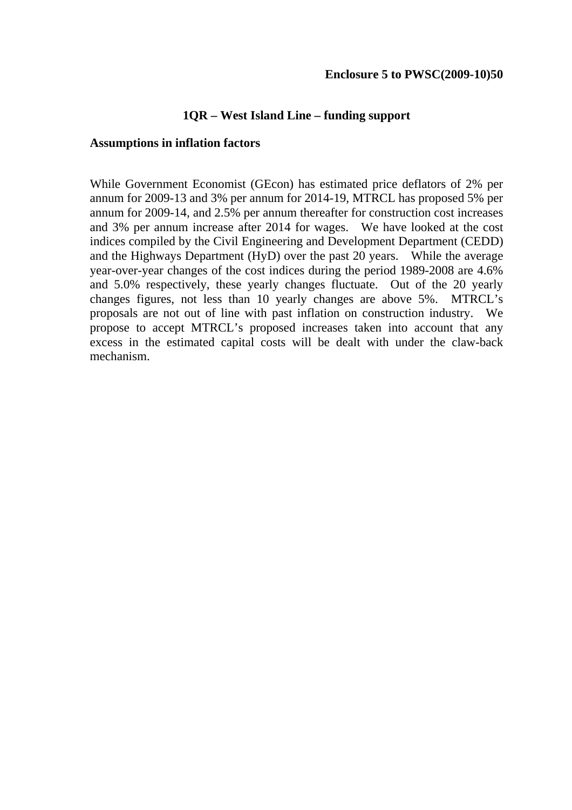#### **1QR – West Island Line – funding support**

#### **Assumptions in inflation factors**

While Government Economist (GEcon) has estimated price deflators of 2% per annum for 2009-13 and 3% per annum for 2014-19, MTRCL has proposed 5% per annum for 2009-14, and 2.5% per annum thereafter for construction cost increases and 3% per annum increase after 2014 for wages. We have looked at the cost indices compiled by the Civil Engineering and Development Department (CEDD) and the Highways Department (HyD) over the past 20 years. While the average year-over-year changes of the cost indices during the period 1989-2008 are 4.6% and 5.0% respectively, these yearly changes fluctuate. Out of the 20 yearly changes figures, not less than 10 yearly changes are above 5%. MTRCL's proposals are not out of line with past inflation on construction industry. We propose to accept MTRCL's proposed increases taken into account that any excess in the estimated capital costs will be dealt with under the claw-back mechanism.